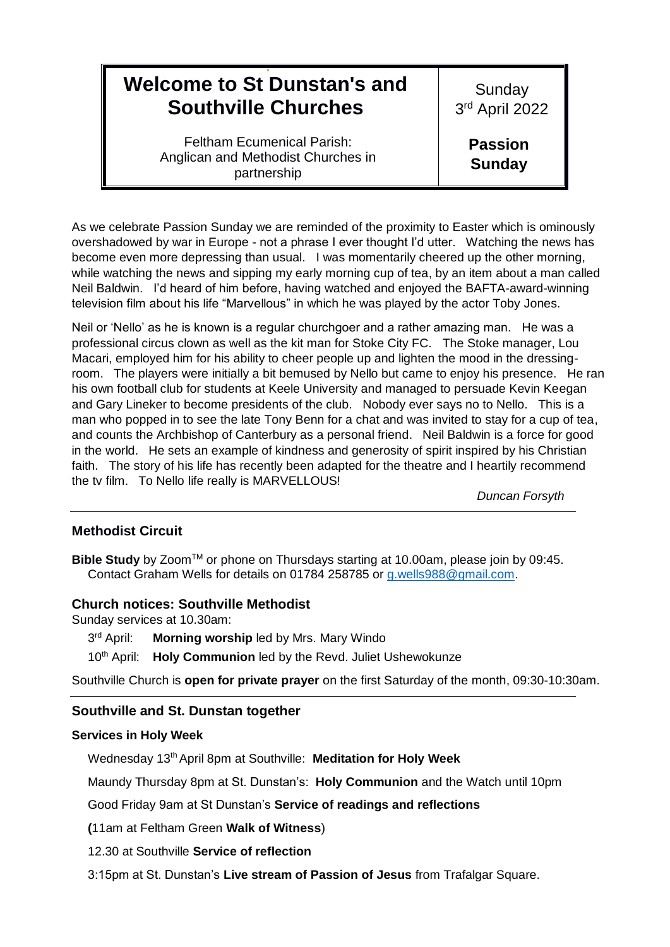# 9 **Welcome to St Dunstan's and Southville Churches**

Feltham Ecumenical Parish: Anglican and Methodist Churches in partnership

Sunday 3 rd April 2022

> **Passion Sunday**

As we celebrate Passion Sunday we are reminded of the proximity to Easter which is ominously overshadowed by war in Europe - not a phrase I ever thought I'd utter. Watching the news has become even more depressing than usual. I was momentarily cheered up the other morning, while watching the news and sipping my early morning cup of tea, by an item about a man called Neil Baldwin. I'd heard of him before, having watched and enjoyed the BAFTA-award-winning television film about his life "Marvellous" in which he was played by the actor Toby Jones.

Neil or 'Nello' as he is known is a regular churchgoer and a rather amazing man. He was a professional circus clown as well as the kit man for Stoke City FC. The Stoke manager, Lou Macari, employed him for his ability to cheer people up and lighten the mood in the dressingroom. The players were initially a bit bemused by Nello but came to enjoy his presence. He ran his own football club for students at Keele University and managed to persuade Kevin Keegan and Gary Lineker to become presidents of the club. Nobody ever says no to Nello. This is a man who popped in to see the late Tony Benn for a chat and was invited to stay for a cup of tea, and counts the Archbishop of Canterbury as a personal friend. Neil Baldwin is a force for good in the world. He sets an example of kindness and generosity of spirit inspired by his Christian faith. The story of his life has recently been adapted for the theatre and I heartily recommend the tv film. To Nello life really is MARVELLOUS!

*Duncan Forsyth*

## **Methodist Circuit**

**Bible Study** by Zoom™ or phone on Thursdays starting at 10.00am, please join by 09:45. Contact Graham Wells for details on 01784 258785 or [g.wells988@gmail.com.](mailto:g.wells988@gmail.com)

### **Church notices: Southville Methodist**

Sunday services at 10.30am:

- 3rd April: **Morning worship led by Mrs. Mary Windo**
- 10th April: **Holy Communion** led by the Revd. Juliet Ushewokunze

Southville Church is **open for private prayer** on the first Saturday of the month, 09:30-10:30am.

## **Southville and St. Dunstan together**

### **Services in Holy Week**

Wednesday 13<sup>th</sup> April 8pm at Southville: Meditation for Holy Week

Maundy Thursday 8pm at St. Dunstan's: **Holy Communion** and the Watch until 10pm

### Good Friday 9am at St Dunstan's **Service of readings and reflections**

**(**11am at Feltham Green **Walk of Witness**)

12.30 at Southville **Service of reflection** 

3:15pm at St. Dunstan's **Live stream of Passion of Jesus** from Trafalgar Square.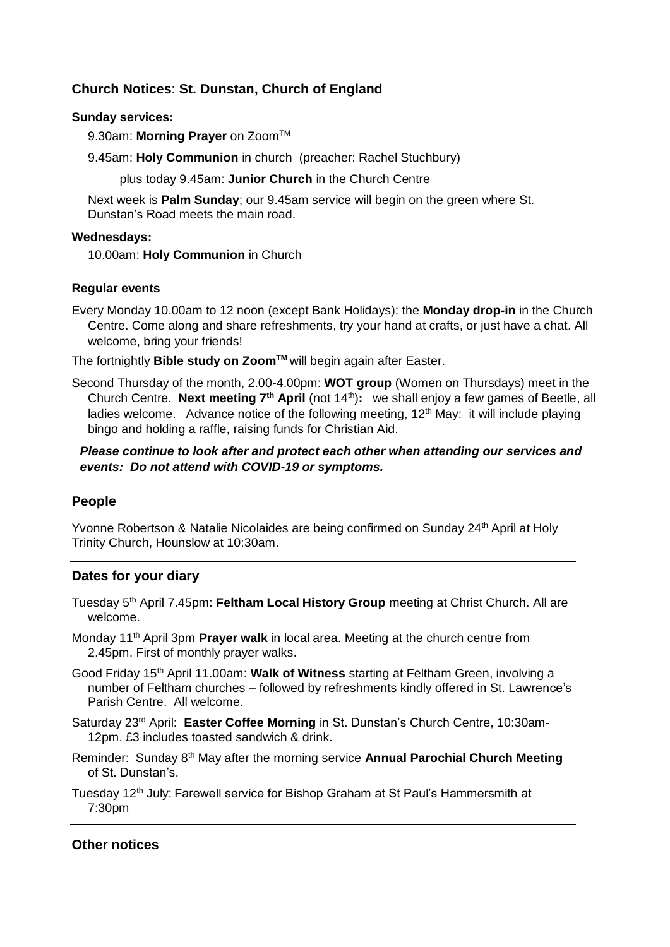## **Church Notices**: **St. Dunstan, Church of England**

#### **Sunday services:**

9.30am: Morning Prayer on Zoom<sup>™</sup>

9.45am: **Holy Communion** in church (preacher: Rachel Stuchbury)

plus today 9.45am: **Junior Church** in the Church Centre

Next week is **Palm Sunday**; our 9.45am service will begin on the green where St. Dunstan's Road meets the main road.

#### **Wednesdays:**

10.00am: **Holy Communion** in Church

### **Regular events**

Every Monday 10.00am to 12 noon (except Bank Holidays): the **Monday drop-in** in the Church Centre. Come along and share refreshments, try your hand at crafts, or just have a chat. All welcome, bring your friends!

The fortnightly **Bible study on ZoomTM** will begin again after Easter.

Second Thursday of the month, 2.00-4.00pm: **WOT group** (Women on Thursdays) meet in the Church Centre. **Next meeting 7th April** (not 14th)**:** we shall enjoy a few games of Beetle, all ladies welcome. Advance notice of the following meeting,  $12<sup>th</sup>$  May: it will include playing bingo and holding a raffle, raising funds for Christian Aid.

*Please continue to look after and protect each other when attending our services and events: Do not attend with COVID-19 or symptoms.*

### **People**

Yvonne Robertson & Natalie Nicolaides are being confirmed on Sunday 24<sup>th</sup> April at Holy Trinity Church, Hounslow at 10:30am.

## **Dates for your diary**

Tuesday 5th April 7.45pm: **Feltham Local History Group** meeting at Christ Church. All are welcome.

Monday 11<sup>th</sup> April 3pm **Prayer walk** in local area. Meeting at the church centre from 2.45pm. First of monthly prayer walks.

- Good Friday 15th April 11.00am: **Walk of Witness** starting at Feltham Green, involving a number of Feltham churches – followed by refreshments kindly offered in St. Lawrence's Parish Centre. All welcome.
- Saturday 23rd April: **Easter Coffee Morning** in St. Dunstan's Church Centre, 10:30am-12pm. £3 includes toasted sandwich & drink.
- Reminder: Sunday 8th May after the morning service **Annual Parochial Church Meeting**  of St. Dunstan's.
- Tuesday 12<sup>th</sup> July: Farewell service for Bishop Graham at St Paul's Hammersmith at 7:30pm

## **Other notices**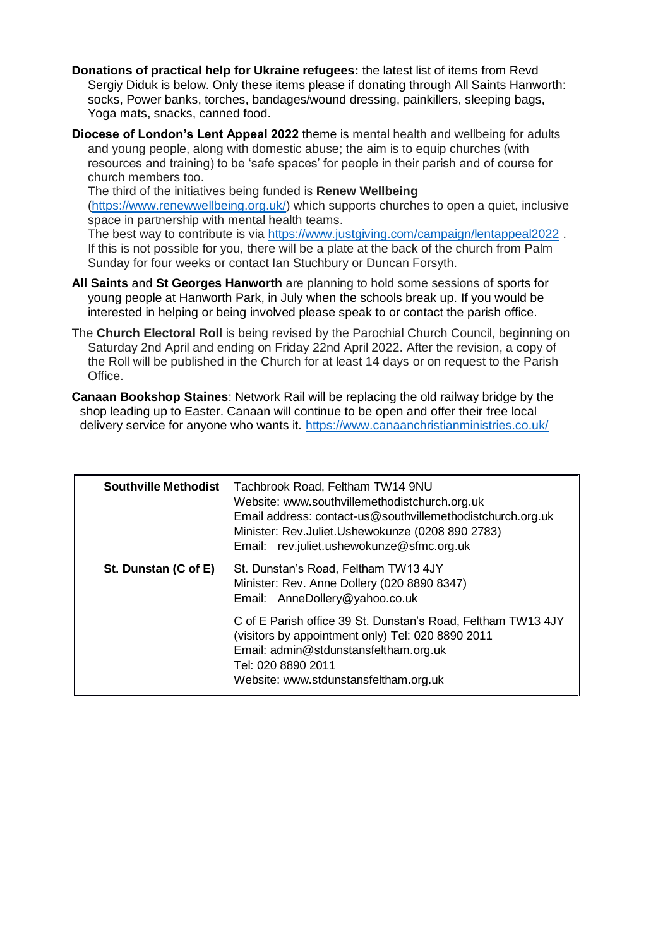- **Donations of practical help for Ukraine refugees:** the latest list of items from Revd Sergiy Diduk is below. Only these items please if donating through All Saints Hanworth: socks, Power banks, torches, bandages/wound dressing, painkillers, sleeping bags, Yoga mats, snacks, canned food.
- **Diocese of London's Lent Appeal 2022** theme is mental health and wellbeing for adults and young people, along with domestic abuse; the aim is to equip churches (with resources and training) to be 'safe spaces' for people in their parish and of course for church members too.

The third of the initiatives being funded is **Renew Wellbeing** 

[\(https://www.renewwellbeing.org.uk/\)](https://www.renewwellbeing.org.uk/) which supports churches to open a quiet, inclusive space in partnership with mental health teams.

The best way to contribute is via<https://www.justgiving.com/campaign/lentappeal2022> . If this is not possible for you, there will be a plate at the back of the church from Palm Sunday for four weeks or contact Ian Stuchbury or Duncan Forsyth.

- **All Saints** and **St Georges Hanworth** are planning to hold some sessions of sports for young people at Hanworth Park, in July when the schools break up. If you would be interested in helping or being involved please speak to or contact the parish office.
- The **Church Electoral Roll** is being revised by the Parochial Church Council, beginning on Saturday 2nd April and ending on Friday 22nd April 2022. After the revision, a copy of the Roll will be published in the Church for at least 14 days or on request to the Parish Office.
- **Canaan Bookshop Staines**: Network Rail will be replacing the old railway bridge by the shop leading up to Easter. Canaan will continue to be open and offer their free local delivery service for anyone who wants it. <https://www.canaanchristianministries.co.uk/>

| <b>Southville Methodist</b> | Tachbrook Road, Feltham TW14 9NU<br>Website: www.southvillemethodistchurch.org.uk<br>Email address: contact-us@southvillemethodistchurch.org.uk<br>Minister: Rev.Juliet.Ushewokunze (0208 890 2783)<br>Email: rev.juliet.ushewokunze@sfmc.org.uk |
|-----------------------------|--------------------------------------------------------------------------------------------------------------------------------------------------------------------------------------------------------------------------------------------------|
| St. Dunstan (C of E)        | St. Dunstan's Road, Feltham TW13 4JY<br>Minister: Rev. Anne Dollery (020 8890 8347)<br>Email: AnneDollery@yahoo.co.uk                                                                                                                            |
|                             | C of E Parish office 39 St. Dunstan's Road, Feltham TW13 4JY<br>(visitors by appointment only) Tel: 020 8890 2011<br>Email: admin@stdunstansfeltham.org.uk<br>Tel: 020 8890 2011<br>Website: www.stdunstansfeltham.org.uk                        |